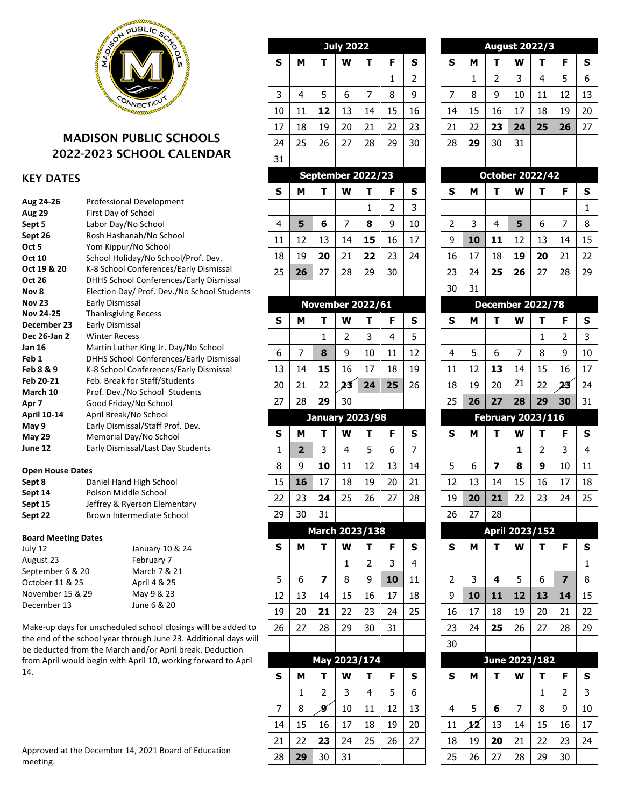

# MADISON PUBLIC SCHOOLS 2022-2023 SCHOOL CALENDAR

# KEY DATES

| Aug 24-26          | <b>Professional Development</b>                |
|--------------------|------------------------------------------------|
| <b>Aug 29</b>      | First Day of School                            |
| Sept 5             | Labor Day/No School                            |
| Sept 26            | Rosh Hashanah/No School                        |
| Oct 5              | Yom Kippur/No School                           |
| <b>Oct 10</b>      | School Holiday/No School/Prof. Dev.            |
| Oct 19 & 20        | K-8 School Conferences/Early Dismissal         |
| <b>Oct 26</b>      | <b>DHHS School Conferences/Early Dismissal</b> |
| Nov 8              | Election Day/ Prof. Dev./No School Students    |
| <b>Nov 23</b>      | Early Dismissal                                |
| <b>Nov 24-25</b>   | <b>Thanksgiving Recess</b>                     |
| December 23        | Early Dismissal                                |
| Dec 26-Jan 2       | <b>Winter Recess</b>                           |
| Jan 16             | Martin Luther King Jr. Day/No School           |
| Feb 1              | <b>DHHS School Conferences/Early Dismissal</b> |
| Feb 8 & 9          | K-8 School Conferences/Early Dismissal         |
| Feb 20-21          | Feb. Break for Staff/Students                  |
| March 10           | Prof. Dev./No School Students                  |
| Apr 7              | Good Friday/No School                          |
| <b>April 10-14</b> | April Break/No School                          |
| May 9              | Early Dismissal/Staff Prof. Dev.               |
| <b>May 29</b>      | Memorial Day/No School                         |
| June 12            | Early Dismissal/Last Day Students              |
|                    |                                                |

### **Open House Dates**

| Sept 8  | Daniel Hand High School      |
|---------|------------------------------|
| Sept 14 | Polson Middle School         |
| Sept 15 | Jeffrey & Ryerson Elementary |
| Sept 22 | Brown Intermediate School    |

# **Board Meeting Dates**

| July 12          | January 10 & 24 |
|------------------|-----------------|
| August 23        | February 7      |
| September 6 & 20 | March 7 & 21    |
| October 11 & 25  | April 4 & 25    |
| November 15 & 29 | May 9 & 23      |
| December 13      | June 6 & 20     |

 the end of the school year through June 23. Additional days will Make-up days for unscheduled school closings will be added to be deducted from the March and/or April break. Deduction from April would begin with April 10, working forward to April 14.

| Approved at the December 14, 2021 Board of Education |  |
|------------------------------------------------------|--|
| meeting.                                             |  |

|                |                         |              | <b>July 2022</b>        |                         |    |    |
|----------------|-------------------------|--------------|-------------------------|-------------------------|----|----|
| S              | M                       | Т            | W                       | Т                       | F  | S  |
|                |                         |              |                         |                         | 1  | 2  |
| 3              | $\overline{\mathbf{4}}$ | 5            | 6                       | 7                       | 8  | 9  |
| 10             | 11                      | 12           | 13                      | 14                      | 15 | 16 |
| 17             | 18                      | 19           | 20                      | 21                      | 22 | 23 |
| 24             | 25                      | 26           | 27                      | 28                      | 29 | 30 |
| 31             |                         |              |                         |                         |    |    |
|                |                         |              |                         | September 2022/23       |    |    |
| S              | Μ                       | Т            | W                       | т                       | F  | S  |
|                |                         |              |                         | 1                       | 2  | 3  |
| $\overline{4}$ | 5                       | 6            | 7                       | 8                       | 9  | 10 |
| 11             | 12                      | 13           | 14                      | 15                      | 16 | 17 |
| 18             | 19                      | 20           | 21                      | 22                      | 23 | 24 |
| 25             | 26                      | 27           | 28                      | 29                      | 30 |    |
|                |                         |              |                         |                         |    |    |
|                |                         |              |                         | <b>November 2022/61</b> |    |    |
| S              | Μ                       | т            | W                       | Т                       | F  | S  |
|                |                         | 1            | $\overline{\mathbf{c}}$ | 3                       | 4  | 5  |
| 6              | 7                       | 8            | 9                       | 10                      | 11 | 12 |
| 13             | 14                      | 15           | 16                      | 17                      | 18 | 19 |
| 20             | 21                      | 22           | 23                      | 24                      | 25 | 26 |
| 27             | 28                      | 29           | 30                      |                         |    |    |
|                |                         |              |                         | <b>January 2023/98</b>  |    |    |
| S              | M                       | т            | W                       | Т                       | F  | S  |
|                |                         |              |                         |                         |    |    |
| $\mathbf{1}$   | $\overline{\mathbf{2}}$ | 3            | 4                       | 5                       | 6  | 7  |
| 8              | 9                       | 10           | 11                      | 12                      | 13 | 14 |
| 15             | 16                      | 17           | 18                      | 19                      | 20 | 21 |
| 22             | 23                      | 24           | 25                      | 26                      | 27 | 28 |
| 29             | 30                      | 31           |                         |                         |    |    |
|                |                         |              |                         | March 2023/138          |    |    |
| S              | M                       | т            | W                       | т                       | F  | S  |
|                |                         |              | 1                       | 2                       | 3  | 4  |
| 5              | 6                       | 7            | 8                       | 9                       | 10 | 11 |
| 12             | 13                      | 14           | 15                      | 16                      | 17 | 18 |
| 19             | 20                      | 21           | 22                      | 23                      | 24 | 25 |
| 26             | 27                      | 28           | 29                      | 30                      | 31 |    |
|                |                         |              |                         |                         |    |    |
|                |                         | May 2023/174 |                         |                         |    |    |
| S              | M                       | т            | W                       | т                       | F  | S  |
|                | 1                       | 2            | 3                       | 4                       | 5  | 6  |
| $\overline{7}$ | 8                       | 9            | 10                      | 11                      | 12 | 13 |
| 14             | 15                      | 16           | 17                      | 18                      | 19 | 20 |
| 21             | 22                      | 23           | 24                      | 25                      | 26 | 27 |

|                          |    | <b>August 2022/3</b>    |    |              |    |    |
|--------------------------|----|-------------------------|----|--------------|----|----|
| S                        | м  | т                       | W  | т            | F  | S  |
|                          | 1  | 2                       | 3  | 4            | 5  | 6  |
| 7                        | 8  | 9                       | 10 | 11           | 12 | 13 |
| 14                       | 15 | 16                      | 17 | 18           | 19 | 20 |
| 21                       | 22 | 23                      | 24 | 25           | 26 | 27 |
| 28                       | 29 | 30                      | 31 |              |    |    |
|                          |    |                         |    |              |    |    |
|                          |    | <b>October 2022/42</b>  |    |              |    |    |
| S                        | M  | T                       | W  | Т            | F  | S  |
|                          |    |                         |    |              |    | 1  |
| 2                        | 3  | $\overline{4}$          | 5  | 6            | 7  | 8  |
| 9                        | 10 | 11                      | 12 | 13           | 14 | 15 |
| 16                       | 17 | 18                      | 19 | 20           | 21 | 22 |
| 23                       | 24 | 25                      | 26 | 27           | 28 | 29 |
| 30                       | 31 |                         |    |              |    |    |
|                          |    | <b>December 2022/78</b> |    |              |    |    |
| S                        | M  | т                       | W  | т            | F  | S  |
|                          |    |                         |    | $\mathbf{1}$ | 2  | 3  |
| $\overline{4}$           | 5  | 6                       | 7  | 8            | 9  | 10 |
| 11                       | 12 | 13                      | 14 | 15           | 16 | 17 |
| 18                       | 19 | 20                      | 21 | 22           | 23 | 24 |
| 25                       | 26 | 27                      | 28 | 29           | 30 | 31 |
| <b>February 2023/116</b> |    |                         |    |              |    |    |
|                          |    |                         |    |              |    |    |
| S                        | M  | T                       | W  | Т            | F  | s  |
|                          |    |                         | 1  | 2            | 3  | 4  |
| 5                        | 6  | 7                       | 8  | 9            | 10 | 11 |
| 12                       | 13 | 14                      | 15 | 16           | 17 | 18 |
| 19                       | 20 | 21                      | 22 | 23           | 24 | 25 |
| 26                       | 27 | 28                      |    |              |    |    |
|                          |    | April 2023/152          |    |              |    |    |
| S                        | M  | T                       | W  | т            | F  | S  |
|                          |    |                         |    |              |    | 1  |
| 2                        | 3  | 4                       | 5  | 6            | 7  | 8  |
| 9                        | 10 | 11                      | 12 | 13           | 14 | 15 |
| 16                       | 17 | 18                      | 19 | 20           | 21 | 22 |
| 23                       | 24 | 25                      | 26 | 27           | 28 | 29 |
| 30                       |    |                         |    |              |    |    |
|                          |    | June 2023/182           |    |              |    |    |
| S                        | M  | Т                       | W  | Т            | F  | s  |
|                          |    |                         |    | 1            | 2  | 3  |
| $\overline{4}$           | 5  | 6                       | 7  | 8            | 9  | 10 |
| 11                       | 12 | 13                      | 14 | 15           | 16 | 17 |
| 18                       | 19 | 20                      | 21 | 22           | 23 | 24 |